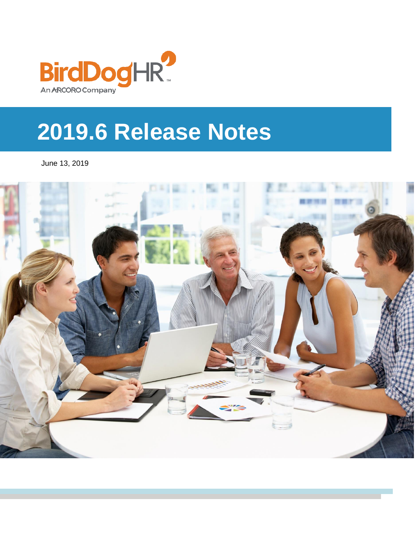

# **2019.6 Release Notes**

June 13, 2019

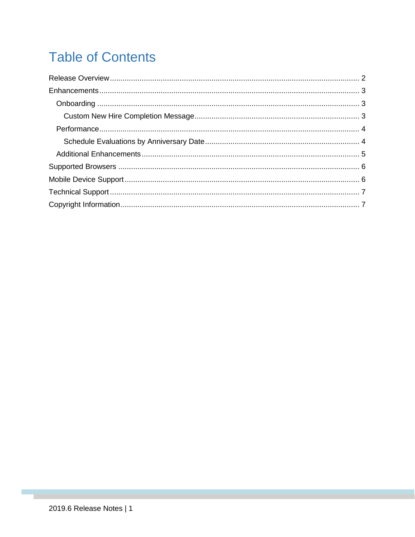# **Table of Contents**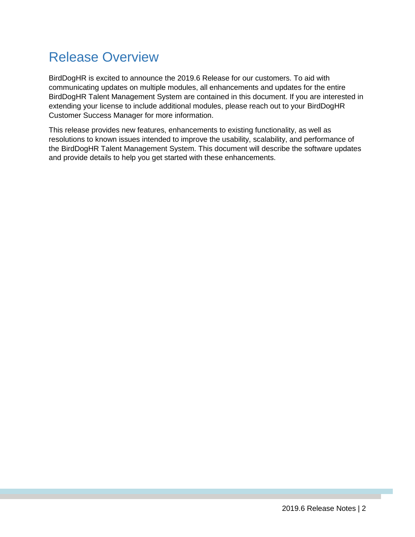# <span id="page-2-0"></span>Release Overview

BirdDogHR is excited to announce the 2019.6 Release for our customers. To aid with communicating updates on multiple modules, all enhancements and updates for the entire BirdDogHR Talent Management System are contained in this document. If you are interested in extending your license to include additional modules, please reach out to your BirdDogHR Customer Success Manager for more information.

This release provides new features, enhancements to existing functionality, as well as resolutions to known issues intended to improve the usability, scalability, and performance of the BirdDogHR Talent Management System. This document will describe the software updates and provide details to help you get started with these enhancements.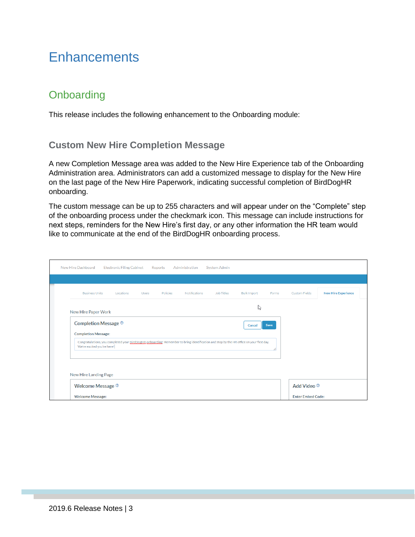### <span id="page-3-0"></span>**Enhancements**

#### <span id="page-3-1"></span>**Onboarding**

This release includes the following enhancement to the Onboarding module:

#### <span id="page-3-2"></span>**Custom New Hire Completion Message**

A new Completion Message area was added to the New Hire Experience tab of the Onboarding Administration area. Administrators can add a customized message to display for the New Hire on the last page of the New Hire Paperwork, indicating successful completion of BirdDogHR onboarding.

The custom message can be up to 255 characters and will appear under on the "Complete" step of the onboarding process under the checkmark icon. This message can include instructions for next steps, reminders for the New Hire's first day, or any other information the HR team would like to communicate at the end of the BirdDogHR onboarding process.

| New Hire Dashboard                                                                                                                                                                                  | <b>Electronic Filing Cabinet</b> |              | Reports  | Administration | <b>System Admin</b> |                    |       |                          |                            |  |
|-----------------------------------------------------------------------------------------------------------------------------------------------------------------------------------------------------|----------------------------------|--------------|----------|----------------|---------------------|--------------------|-------|--------------------------|----------------------------|--|
| <b>Business Units</b>                                                                                                                                                                               | Locations                        | <b>Users</b> | Policies | Notifications  | Job Titles          | <b>Bulk Import</b> | Forms | <b>Custom Fields</b>     | <b>New Hire Experience</b> |  |
|                                                                                                                                                                                                     | じ<br>New Hire Paper Work         |              |          |                |                     |                    |       |                          |                            |  |
| Completion Message <sup>2</sup>                                                                                                                                                                     |                                  |              |          |                |                     | Cancel             | Save  |                          |                            |  |
| <b>Completion Message:</b><br>Congratulations, you completed your BirdDogHR onboarding! Remember to bring identification and stop by the HR office on your first day.<br>We're excited you're here! |                                  |              |          |                |                     |                    |       |                          |                            |  |
|                                                                                                                                                                                                     |                                  |              |          |                |                     |                    |       |                          |                            |  |
| New Hire Landing Page                                                                                                                                                                               |                                  |              |          |                |                     |                    |       |                          |                            |  |
| Welcome Message <sup>®</sup>                                                                                                                                                                        |                                  |              |          |                |                     |                    |       | Add Video ®              |                            |  |
| <b>Welcome Message:</b>                                                                                                                                                                             |                                  |              |          |                |                     |                    |       | <b>Enter Embed Code:</b> |                            |  |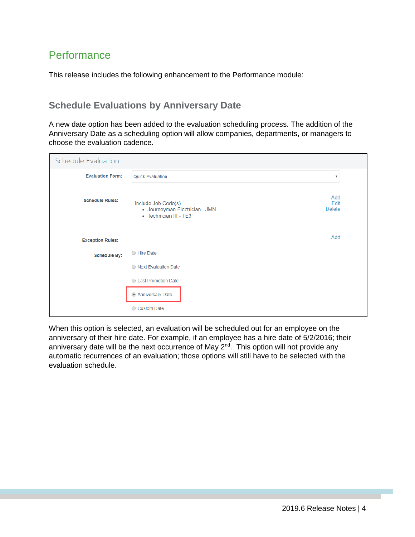#### <span id="page-4-0"></span>**Performance**

This release includes the following enhancement to the Performance module:

#### <span id="page-4-1"></span>**Schedule Evaluations by Anniversary Date**

A new date option has been added to the evaluation scheduling process. The addition of the Anniversary Date as a scheduling option will allow companies, departments, or managers to choose the evaluation cadence.

| Schedule Evaluation     |                                                                                 |                              |
|-------------------------|---------------------------------------------------------------------------------|------------------------------|
| <b>Evaluation Form:</b> | Quick Evaluation                                                                | $\boldsymbol{\mathrm{v}}$    |
| <b>Schedule Rules:</b>  | Include Job Code(s)<br>· Journeyman Electrician - JMN<br>• Technician III - TE3 | Add<br>Edit<br><b>Delete</b> |
| <b>Exception Rules:</b> |                                                                                 | Add                          |
| <b>Schedule By:</b>     | ○ Hire Date                                                                     |                              |
|                         | ◯ Next Evaluation Date                                                          |                              |
|                         | C Last Promotion Date                                                           |                              |
|                         | Anniversary Date                                                                |                              |
|                         | ○ Custom Date                                                                   |                              |

When this option is selected, an evaluation will be scheduled out for an employee on the anniversary of their hire date. For example, if an employee has a hire date of 5/2/2016; their anniversary date will be the next occurrence of May 2<sup>nd</sup>. This option will not provide any automatic recurrences of an evaluation; those options will still have to be selected with the evaluation schedule.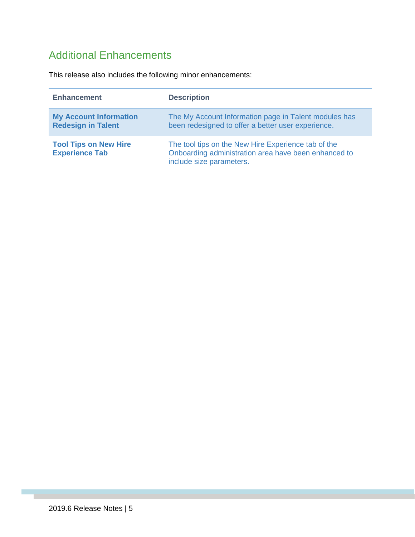### <span id="page-5-0"></span>Additional Enhancements

This release also includes the following minor enhancements:

| <b>Enhancement</b>                                         | <b>Description</b>                                                                                                                      |
|------------------------------------------------------------|-----------------------------------------------------------------------------------------------------------------------------------------|
| <b>My Account Information</b><br><b>Redesign in Talent</b> | The My Account Information page in Talent modules has<br>been redesigned to offer a better user experience.                             |
| <b>Tool Tips on New Hire</b><br><b>Experience Tab</b>      | The tool tips on the New Hire Experience tab of the<br>Onboarding administration area have been enhanced to<br>include size parameters. |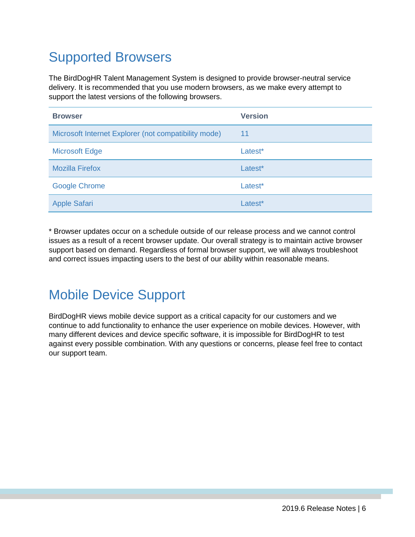# <span id="page-6-0"></span>Supported Browsers

The BirdDogHR Talent Management System is designed to provide browser-neutral service delivery. It is recommended that you use modern browsers, as we make every attempt to support the latest versions of the following browsers.

| <b>Browser</b>                                       | <b>Version</b> |
|------------------------------------------------------|----------------|
| Microsoft Internet Explorer (not compatibility mode) | 11             |
| <b>Microsoft Edge</b>                                | Latest*        |
| <b>Mozilla Firefox</b>                               | Latest*        |
| <b>Google Chrome</b>                                 | Latest*        |
| <b>Apple Safari</b>                                  | Latest*        |

\* Browser updates occur on a schedule outside of our release process and we cannot control issues as a result of a recent browser update. Our overall strategy is to maintain active browser support based on demand. Regardless of formal browser support, we will always troubleshoot and correct issues impacting users to the best of our ability within reasonable means.

### <span id="page-6-1"></span>Mobile Device Support

BirdDogHR views mobile device support as a critical capacity for our customers and we continue to add functionality to enhance the user experience on mobile devices. However, with many different devices and device specific software, it is impossible for BirdDogHR to test against every possible combination. With any questions or concerns, please feel free to contact our support team.